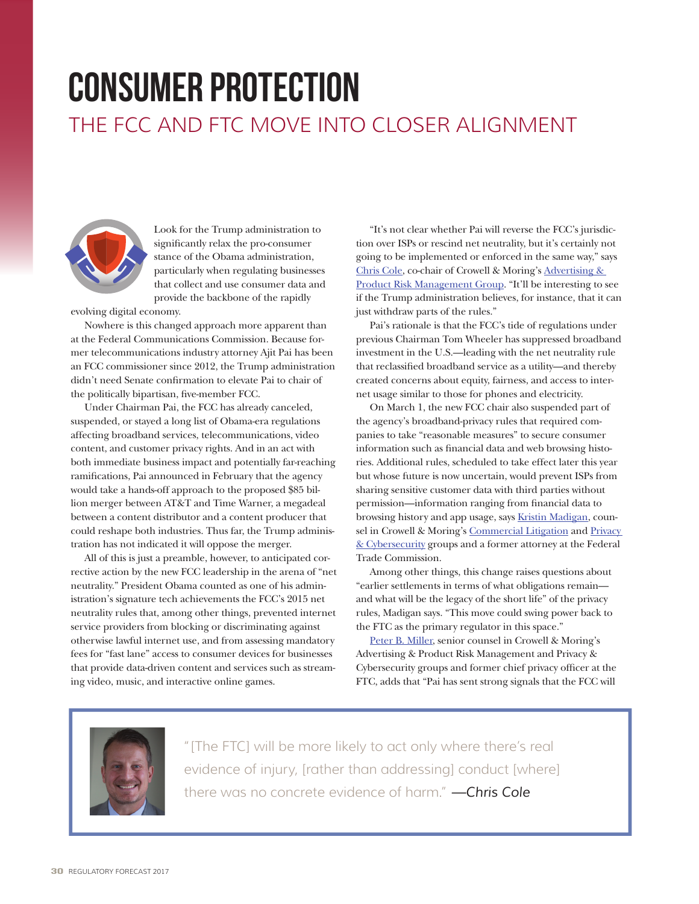## consumer protection THE FCC AND FTC MOVE INTO CLOSER ALIGNMENT



Look for the Trump administration to significantly relax the pro-consumer stance of the Obama administration, particularly when regulating businesses that collect and use consumer data and provide the backbone of the rapidly

evolving digital economy.

Nowhere is this changed approach more apparent than at the Federal Communications Commission. Because former telecommunications industry attorney Ajit Pai has been an FCC commissioner since 2012, the Trump administration didn't need Senate confirmation to elevate Pai to chair of the politically bipartisan, five-member FCC.

Under Chairman Pai, the FCC has already canceled, suspended, or stayed a long list of Obama-era regulations affecting broadband services, telecommunications, video content, and customer privacy rights. And in an act with both immediate business impact and potentially far-reaching ramifications, Pai announced in February that the agency would take a hands-off approach to the proposed \$85 billion merger between AT&T and Time Warner, a megadeal between a content distributor and a content producer that could reshape both industries. Thus far, the Trump administration has not indicated it will oppose the merger.

All of this is just a preamble, however, to anticipated corrective action by the new FCC leadership in the arena of "net neutrality." President Obama counted as one of his administration's signature tech achievements the FCC's 2015 net neutrality rules that, among other things, prevented internet service providers from blocking or discriminating against otherwise lawful internet use, and from assessing mandatory fees for "fast lane" access to consumer devices for businesses that provide data-driven content and services such as streaming video, music, and interactive online games.

"It's not clear whether Pai will reverse the FCC's jurisdiction over ISPs or rescind net neutrality, but it's certainly not going to be implemented or enforced in the same way," says [Chris Cole](https://www.crowell.com/Professionals/christopher-cole), co-chair of Crowell & Moring's [Advertising &](https://www.crowell.com/Practices/Advertising-Product-Risk-Management)  [Product Risk Management Group](https://www.crowell.com/Practices/Advertising-Product-Risk-Management). "It'll be interesting to see if the Trump administration believes, for instance, that it can just withdraw parts of the rules."

Pai's rationale is that the FCC's tide of regulations under previous Chairman Tom Wheeler has suppressed broadband investment in the U.S.—leading with the net neutrality rule that reclassified broadband service as a utility—and thereby created concerns about equity, fairness, and access to internet usage similar to those for phones and electricity.

On March 1, the new FCC chair also suspended part of the agency's broadband-privacy rules that required companies to take "reasonable measures" to secure consumer information such as financial data and web browsing histories. Additional rules, scheduled to take effect later this year but whose future is now uncertain, would prevent ISPs from sharing sensitive customer data with third parties without permission—information ranging from financial data to browsing history and app usage, says **[Kristin Madigan](https://www.crowell.com/Professionals/Kristin-Madigan)**, coun-sel in Crowell & Moring's [Commercial Litigation](https://www.crowell.com/Practices/Commercial-Litigation) and Privacy [& Cybersecurity](https://www.crowell.com/Practices/Privacy-Cybersecurity) groups and a former attorney at the Federal Trade Commission.

Among other things, this change raises questions about "earlier settlements in terms of what obligations remain and what will be the legacy of the short life" of the privacy rules, Madigan says. "This move could swing power back to the FTC as the primary regulator in this space."

[Peter B. Miller,](https://www.crowell.com/Professionals/Peter-B-Miller) senior counsel in Crowell & Moring's Advertising & Product Risk Management and Privacy & Cybersecurity groups and former chief privacy officer at the FTC, adds that "Pai has sent strong signals that the FCC will



"[The FTC] will be more likely to act only where there's real evidence of injury, [rather than addressing] conduct [where] there was no concrete evidence of harm." *—Chris Cole*